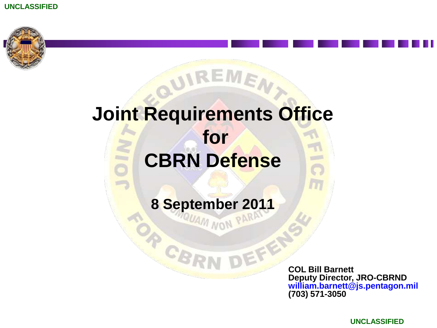

# **Joint Requirements Office for CBRN Defense**

O

**PARTNAM** 

IREME,

**8 September 2011**

**COL Bill Barnett Deputy Director, JRO-CBRND william.barnett@js.pentagon.mil (703) 571-3050**

**UNCLASSIFIED**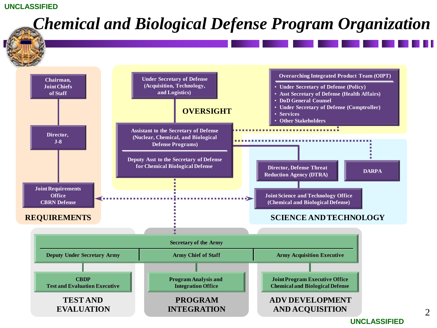#### $\mathcal{D}_{\mathcal{L}}$ **REQUIREMENTS SCIENCE AND TECHNOLOGY Chairman, Joint Chiefs of Staff Director, J-8 Joint Requirements Office CBRN Defense Under Secretary of Defense (Acquisition, Technology, and Logistics) OVERSIGHT Assistant to the Secretary of Defense (Nuclear, Chemical, and Biological Defense Programs) Deputy Asst to the Secretary of Defense for Chemical Biological Defense Joint Science and Technology Office (Chemical and Biological Defense) Director, Defense Threat Reduction Agency (DTRA) DARPA Overarching Integrated Product Team (OIPT)** • **Under Secretary of Defense (Policy)** • **Asst Secretary of Defense (Health Affairs)** • **DoD General Counsel** • **Under Secretary of Defense (Comptroller)** • **Services** • **Other Stakeholders Joint Program Executive Office Chemical and Biological Defense CBDP Test and Evaluation Executive Program Analysis and Integration Office Army Chief of Staff Secretary of the Army Deputy Under Secretary Army Army Army Chief of Staff <b>Army** Acquisition Executive **ADV DEVELOPMENT AND ACQUISITION PROGRAM INTEGRATION TEST AND EVALUATION** *Chemical and Biological Defense Program Organization*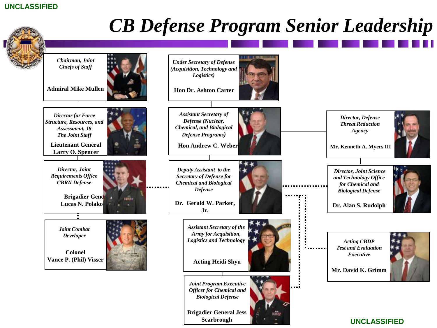

*Chairman, Joint Chiefs of Staff*

**Admiral Mike Mullen**

*Director for Force Structure, Resources, and Assessment, J8 The Joint Staff* 

**Lieutenant General Larry O. Spencer**

*Director, Joint Requirements Office CBRN Defense*

> **Brigadier General Lucas N. Polako**



**Colonel Vance P. (Phil) Visser**

*Developer*







*Under Secretary of Defense (Acquisition, Technology and Logistics)*

**Hon Andrew C. Weber**

*Deputy Assistant to the Secretary of Defense for Chemical and Biological Defense* 

**Dr. Gerald W. Parker, Jr.** 

> *Assistant Secretary of the Army for Acquisition, Logistics and Technology*

> > **Acting Heidi Shyu**

*Joint Program Executive Officer for Chemical and Biological Defense*

**Brigadier General Jess Scarbrough**



*CB Defense Program Senior Leadership*

III.

*Acting CBDP Executive*



*Director, Defense Threat Reduction Agency*

**Mr. Kenneth A. Myers III**

*Director, Joint Science and Technology Office for Chemical and Biological Defense*

**Dr. Alan S. Rudolph**

*Test and Evaluation*  **Mr. David K. Grimm**

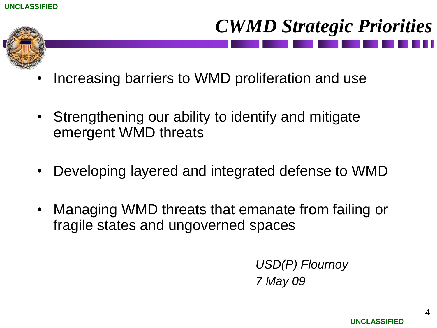

# *CWMD Strategic Priorities*

- Increasing barriers to WMD proliferation and use
- Strengthening our ability to identify and mitigate emergent WMD threats
- Developing layered and integrated defense to WMD
- Managing WMD threats that emanate from failing or fragile states and ungoverned spaces

*USD(P) Flournoy 7 May 09*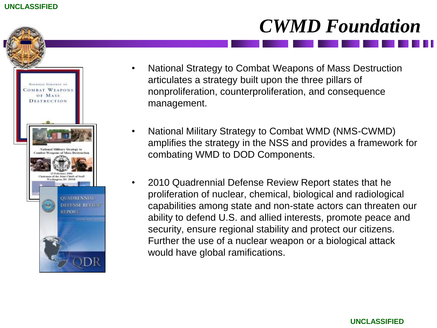



- National Strategy to Combat Weapons of Mass Destruction articulates a strategy built upon the three pillars of nonproliferation, counterproliferation, and consequence management.
- National Military Strategy to Combat WMD (NMS-CWMD) amplifies the strategy in the NSS and provides a framework for combating WMD to DOD Components.
	- 2010 Quadrennial Defense Review Report states that he proliferation of nuclear, chemical, biological and radiological capabilities among state and non-state actors can threaten our ability to defend U.S. and allied interests, promote peace and security, ensure regional stability and protect our citizens. Further the use of a nuclear weapon or a biological attack would have global ramifications.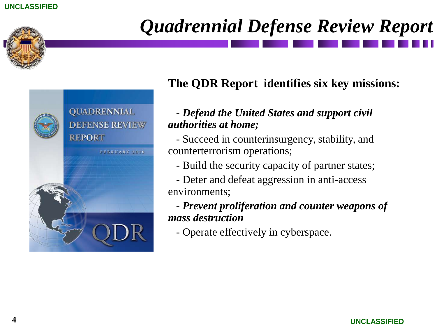



# *Quadrennial Defense Review Report*

## **The QDR Report identifies six key missions:**

## *- Defend the United States and support civil authorities at home;*

- Succeed in counterinsurgency, stability, and counterterrorism operations;

- Build the security capacity of partner states;
- Deter and defeat aggression in anti-access environments;

*- Prevent proliferation and counter weapons of mass destruction*

- Operate effectively in cyberspace.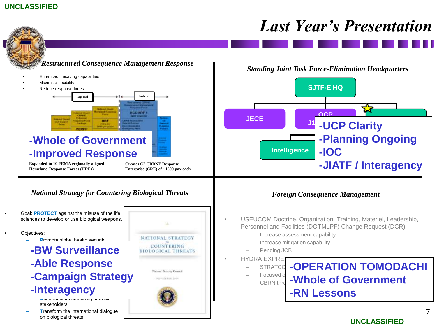## *Last Year's Presentation*

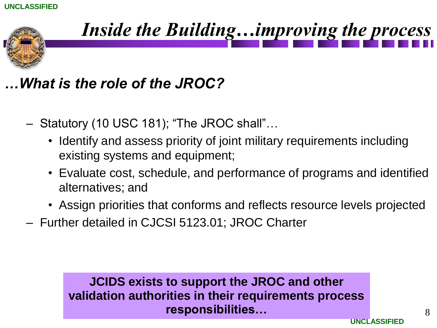

# *Inside the Building…improving the process*

## *…What is the role of the JROC?*

- Statutory (10 USC 181); "The JROC shall"…
	- Identify and assess priority of joint military requirements including existing systems and equipment;
	- Evaluate cost, schedule, and performance of programs and identified alternatives; and
	- Assign priorities that conforms and reflects resource levels projected
- Further detailed in CJCSI 5123.01; JROC Charter

**JCIDS exists to support the JROC and other validation authorities in their requirements process responsibilities…**

**UNCLASSIFIED**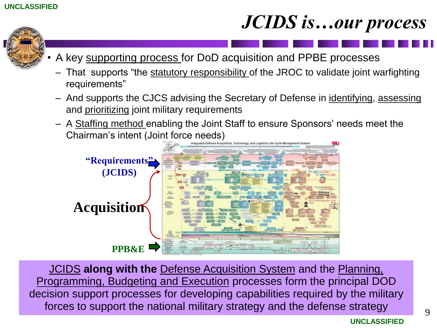# *JCIDS is…our process*



- A key supporting process for DoD acquisition and PPBE processes
	- That supports "the statutory responsibility of the JROC to validate joint warfighting requirements"
- And supports the CJCS advising the Secretary of Defense in identifying, assessing and prioritizing joint military requirements
- A Staffing method enabling the Joint Staff to ensure Sponsors' needs meet the Chairman's intent (Joint force needs)



JCIDS **along with the** Defense Acquisition System and the Planning, Programming, Budgeting and Execution processes form the principal DOD decision support processes for developing capabilities required by the military forces to support the national military strategy and the defense strategy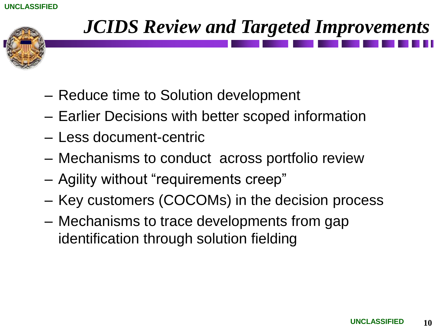

# *JCIDS Review and Targeted Improvements*

- Reduce time to Solution development
- Earlier Decisions with better scoped information
- Less document-centric
- Mechanisms to conduct across portfolio review
- Agility without "requirements creep"
- Key customers (COCOMs) in the decision process
- Mechanisms to trace developments from gap identification through solution fielding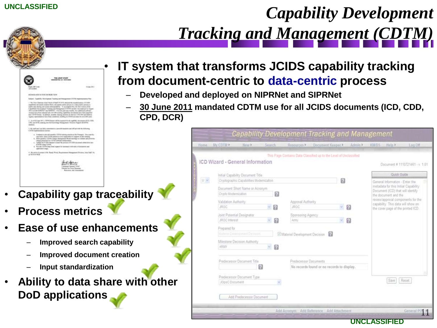# *Capability Development Tracking and Management (CDTM)*

|                                           | TOW JOINT 41MY<br><b>MORAL ILC, SOULA ANNA</b>                                                                                                                                                                                                                                                                                                                                                                                                                                                                                                                                                                                                                                                                                                                                            | IT syst<br>from d |                             |                    |
|-------------------------------------------|-------------------------------------------------------------------------------------------------------------------------------------------------------------------------------------------------------------------------------------------------------------------------------------------------------------------------------------------------------------------------------------------------------------------------------------------------------------------------------------------------------------------------------------------------------------------------------------------------------------------------------------------------------------------------------------------------------------------------------------------------------------------------------------------|-------------------|-----------------------------|--------------------|
|                                           |                                                                                                                                                                                                                                                                                                                                                                                                                                                                                                                                                                                                                                                                                                                                                                                           |                   |                             |                    |
| lak 2011ap.<br>all LL MISC                |                                                                                                                                                                                                                                                                                                                                                                                                                                                                                                                                                                                                                                                                                                                                                                                           | Alian Bill        |                             |                    |
| <b>SEEMS BLANCH IN EVIDENT BUILDING</b>   |                                                                                                                                                                                                                                                                                                                                                                                                                                                                                                                                                                                                                                                                                                                                                                                           |                   |                             | Dev                |
|                                           | Solard: Transition Filter/optional Transitional and Telescopension (CSTM) implications on The                                                                                                                                                                                                                                                                                                                                                                                                                                                                                                                                                                                                                                                                                             |                   |                             |                    |
|                                           | C. The Trice Chapitals Asial Chicological Matrix (2012) 12: Marine Microsoft Economics of D. W/N.<br>a meant linear divisioners, i dealerse finale a showaked a better persons to a rideo possible ponentials.<br>couldn class shorting and sporton intercipated fifty. The promotes that the first remains of the<br>Capabilities Development Thatking and Mongoleum ETXTRT-quote man registred in August<br>30-1 as both GROST and HPROST. Three this case into recently, Nov additional collection<br>intaken itans futal missiond and ulter full constitue, readictifier disnutated band hered imported<br>into COVIETIvesd. To addition, acceler interesponsesses for learnies \$107 TWI and \$400 cm<br>Approximated to her best continued welling to CEO have not by your ES care. |                   |                             | 30 J<br><b>CPD</b> |
| <b>Additions</b>                          | 1. An of \$1 law 2011. (1979) lenses will have actual fat all capability shows an ATSL (200<br>1991 and 1879; vestilia lant the Kaladaigy Nasagonano Yesuldus Regiont (EAERN)                                                                                                                                                                                                                                                                                                                                                                                                                                                                                                                                                                                                             |                   |                             |                    |
| CITER tackmentains admin-                 | 1 Ms half and 1 as \$40 manuteskip a good transition and 140 provide the following                                                                                                                                                                                                                                                                                                                                                                                                                                                                                                                                                                                                                                                                                                        |                   |                             |                    |
| <b>KINDS and CASH</b><br>UNERABLE VIOLATI | + Explosive plansifications (STM substitutions of the Phonestic Groups AL<br>see fash, wat CIFER passeroused standards to expert youth books.<br>16. Aleki upplanty <2019 A.Chineya Munagement Reand excitings to confusion and artisticts<br>charge photograph for CEY M self-train compositions<br>1. Today he F.2.5 Newal to stay he possed of F.235 go arent chies over us-<br>6. PCIAAL IS EFFEK ENGLING August for bostonical lettership of designers and                                                                                                                                                                                                                                                                                                                           |                   |                             |                    |
| a Hinkel-WCB.                             | 4. My print of contact if the Boards Wind, Rossissment Hitaganisat (Middle), John Rolf 14.                                                                                                                                                                                                                                                                                                                                                                                                                                                                                                                                                                                                                                                                                                |                   |                             |                    |
|                                           | Lookeagh Esweld, LEWI<br>Tilmpader feat financy Meanward.<br>Roberton, and deposits on                                                                                                                                                                                                                                                                                                                                                                                                                                                                                                                                                                                                                                                                                                    |                   |                             |                    |
|                                           |                                                                                                                                                                                                                                                                                                                                                                                                                                                                                                                                                                                                                                                                                                                                                                                           |                   |                             |                    |
|                                           |                                                                                                                                                                                                                                                                                                                                                                                                                                                                                                                                                                                                                                                                                                                                                                                           |                   | Capability gap traceability |                    |

- **Ease of use enhancements**
	- **Improved search capability**
	- **Improved document creation**
	- **Input standardization**
- **Ability to data share with other DoD applications**

## • **IT system that transforms JCIDS capability tracking from document-centric to data-centric process**

- **Developed and deployed on NIPRNet and SIPRNet**
- **30 June 2011 mandated CDTM use for all JCIDS documents (ICD, CDD, CPD, DCR)**

|               | My.CDTM+                            |                                                             |   |              |                                                                    | Document Keeper.                           |            |  | KM/DS<br>Help P                                                                                                                       | Log Dff                         |
|---------------|-------------------------------------|-------------------------------------------------------------|---|--------------|--------------------------------------------------------------------|--------------------------------------------|------------|--|---------------------------------------------------------------------------------------------------------------------------------------|---------------------------------|
|               |                                     |                                                             |   |              | This Page Contains Data Classified up to the Level of Unclassified |                                            |            |  |                                                                                                                                       |                                 |
|               |                                     | ICD Wizard - General Information                            |   |              |                                                                    |                                            |            |  |                                                                                                                                       | Document # 1110721461 - v. 1.01 |
|               |                                     | Initial Capability Document Title                           |   |              |                                                                    |                                            |            |  |                                                                                                                                       | Quick Guide                     |
| $\cup$ $\sim$ |                                     | Cryptographic Capabilities Modernization                    |   |              |                                                                    |                                            | ø          |  | General Information - Enter the<br>metadata for this Initial Capability.<br>Document (ICD) that will identify<br>the document and the |                                 |
|               |                                     | Document Short Name or Acronym<br>0<br>Crypto Modernization |   |              |                                                                    |                                            |            |  |                                                                                                                                       |                                 |
|               | Validation Authority<br><b>JROC</b> |                                                             |   | $-2$<br>$-8$ | Approval Authority<br><b>JROC</b>                                  |                                            | ~9<br>$-8$ |  | review/approval components for the<br>capability. This data will show on<br>the cover page of the printed ICD.                        |                                 |
|               | JRÖC Interest                       | Joint Potential Designator.                                 |   |              | Spennoring Agency<br>Arriv                                         |                                            |            |  |                                                                                                                                       |                                 |
|               | Prepared for                        | Material Desktopment Decrease.                              |   |              | Material Development Decision                                      |                                            |            |  |                                                                                                                                       |                                 |
|               | ARMY                                | Milestone Decision Authority                                |   | $-B$         |                                                                    |                                            |            |  |                                                                                                                                       |                                 |
|               |                                     | Predecessor Document Title                                  | 糿 |              | Predecessor Documents                                              | No records found or no records to display. |            |  |                                                                                                                                       |                                 |
|               | JOpsC Document                      | Predecessor Document Type                                   |   |              |                                                                    |                                            |            |  | Reset<br>Save                                                                                                                         |                                 |
|               |                                     | Add Predecessor Document                                    |   |              |                                                                    |                                            |            |  |                                                                                                                                       |                                 |

**UNCLASSIFIED**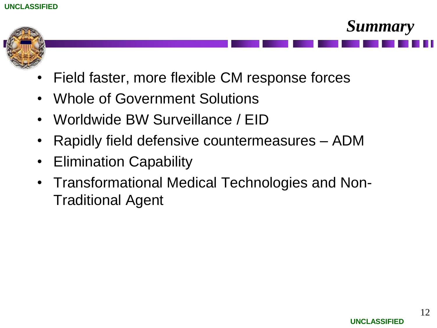

- Field faster, more flexible CM response forces
- Whole of Government Solutions
- Worldwide BW Surveillance / EID
- Rapidly field defensive countermeasures ADM
- Elimination Capability
- Transformational Medical Technologies and Non-Traditional Agent

*Summary*